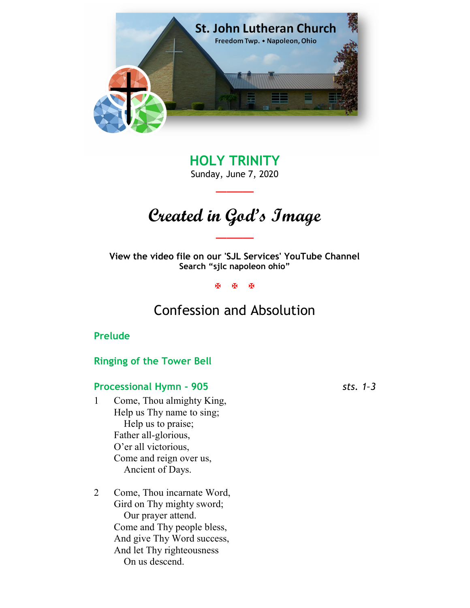

HOLY TRINITY Sunday, June 7, 2020

\_\_\_\_\_\_\_

# Created in God's Image

\_\_\_\_\_\_\_

View the video file on our 'SJL Services' YouTube Channel Search "sjlc napoleon ohio"

**XXX** 

## Confession and Absolution

#### Prelude

#### Ringing of the Tower Bell

### Processional Hymn - 905 sts. 1-3

- 1 Come, Thou almighty King, Help us Thy name to sing; Help us to praise; Father all-glorious, O'er all victorious, Come and reign over us, Ancient of Days.
- 2 Come, Thou incarnate Word, Gird on Thy mighty sword; Our prayer attend. Come and Thy people bless, And give Thy Word success, And let Thy righteousness On us descend.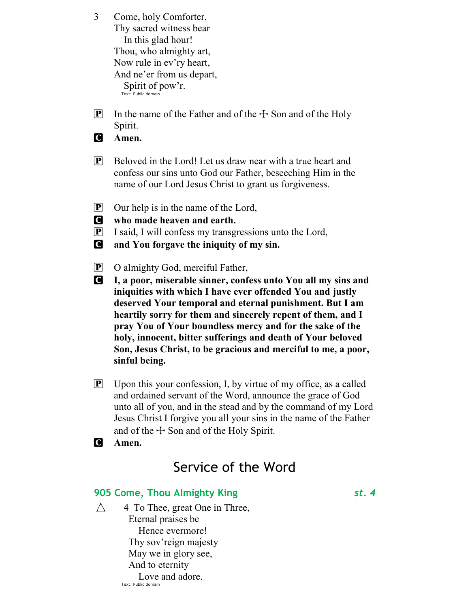3 Come, holy Comforter, Thy sacred witness bear In this glad hour! Thou, who almighty art, Now rule in ev'ry heart, And ne'er from us depart, Spirit of pow'r.

- Text: Public domain
- **P** In the name of the Father and of the  $\pm$  Son and of the Holy Spirit.

**C** Amen.

- $\mathbf{P}$  Beloved in the Lord! Let us draw near with a true heart and confess our sins unto God our Father, beseeching Him in the name of our Lord Jesus Christ to grant us forgiveness.
- $\boxed{\mathbf{P}}$  Our help is in the name of the Lord,
- C who made heaven and earth.
- P I said, I will confess my transgressions unto the Lord,
- C and You forgave the iniquity of my sin.
- P O almighty God, merciful Father,
- C I, a poor, miserable sinner, confess unto You all my sins and iniquities with which I have ever offended You and justly deserved Your temporal and eternal punishment. But I am heartily sorry for them and sincerely repent of them, and I pray You of Your boundless mercy and for the sake of the holy, innocent, bitter sufferings and death of Your beloved Son, Jesus Christ, to be gracious and merciful to me, a poor, sinful being.
- **P** Upon this your confession, I, by virtue of my office, as a called and ordained servant of the Word, announce the grace of God unto all of you, and in the stead and by the command of my Lord Jesus Christ I forgive you all your sins in the name of the Father and of the  $\pm$  Son and of the Holy Spirit.
- **C** Amen.

## Service of the Word

#### 905 Come, Thou Almighty King St. 4

 $\triangle$  4 To Thee, great One in Three, Eternal praises be Hence evermore! Thy sov'reign majesty May we in glory see, And to eternity Love and adore. Text: Public domain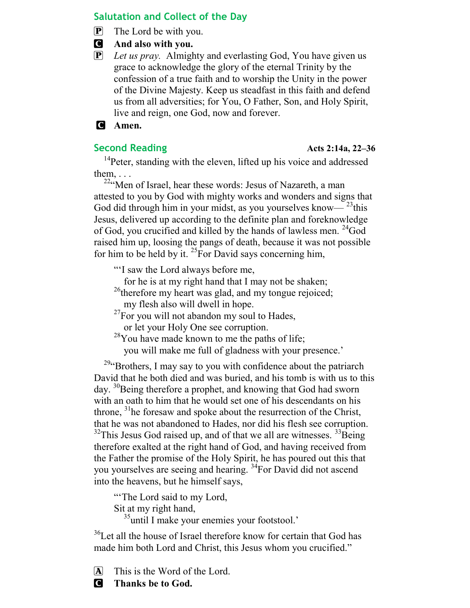#### Salutation and Collect of the Day

 $\left[ \mathbf{P} \right]$  The Lord be with you.

- C And also with you.
- $\overline{P}$  Let us pray. Almighty and everlasting God, You have given us grace to acknowledge the glory of the eternal Trinity by the confession of a true faith and to worship the Unity in the power of the Divine Majesty. Keep us steadfast in this faith and defend us from all adversities; for You, O Father, Son, and Holy Spirit, live and reign, one God, now and forever.

#### C Amen.

#### Second Reading Acts 2:14a, 22–36

<sup>14</sup>Peter, standing with the eleven, lifted up his voice and addressed them,  $\ldots$ 

<sup>22</sup>"Men of Israel, hear these words: Jesus of Nazareth, a man attested to you by God with mighty works and wonders and signs that God did through him in your midst, as you yourselves know— $^{23}$ this Jesus, delivered up according to the definite plan and foreknowledge of God, you crucified and killed by the hands of lawless men. <sup>24</sup>God raised him up, loosing the pangs of death, because it was not possible for him to be held by it.  $^{25}$  For David says concerning him,

"'I saw the Lord always before me,

for he is at my right hand that I may not be shaken;

 $26$ <sup>26</sup>therefore my heart was glad, and my tongue rejoiced; my flesh also will dwell in hope.

 $^{27}$ For you will not abandon my soul to Hades,

or let your Holy One see corruption.

 $28$ You have made known to me the paths of life;

you will make me full of gladness with your presence.'

 $29$ "Brothers, I may say to you with confidence about the patriarch David that he both died and was buried, and his tomb is with us to this day. <sup>30</sup>Being therefore a prophet, and knowing that God had sworn with an oath to him that he would set one of his descendants on his throne,  $31$  he foresaw and spoke about the resurrection of the Christ, that he was not abandoned to Hades, nor did his flesh see corruption.  $32$ This Jesus God raised up, and of that we all are witnesses.  $33$ Being therefore exalted at the right hand of God, and having received from the Father the promise of the Holy Spirit, he has poured out this that you yourselves are seeing and hearing. <sup>34</sup>For David did not ascend into the heavens, but he himself says,

"The Lord said to my Lord, Sit at my right hand,

<sup>35</sup>until I make your enemies your footstool.'

<sup>36</sup>Let all the house of Israel therefore know for certain that God has made him both Lord and Christ, this Jesus whom you crucified."

A This is the Word of the Lord.

**C** Thanks be to God.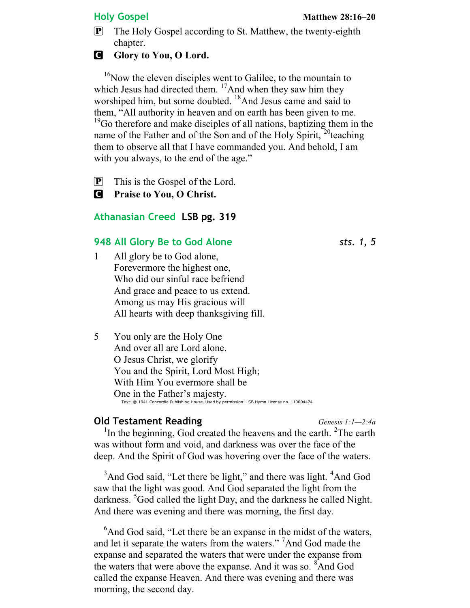**P** The Holy Gospel according to St. Matthew, the twenty-eighth chapter.

#### **G** Glory to You, O Lord.

 $16$ Now the eleven disciples went to Galilee, to the mountain to which Jesus had directed them.  $\frac{17}{2}$ And when they saw him they worshiped him, but some doubted. <sup>18</sup>And Jesus came and said to them, "All authority in heaven and on earth has been given to me.  $19^{\circ}$ Go therefore and make disciples of all nations, baptizing them in the name of the Father and of the Son and of the Holy Spirit,  $^{20}$  teaching them to observe all that I have commanded you. And behold, I am with you always, to the end of the age."

 $\mathbf{P}$  This is the Gospel of the Lord.

**C** Praise to You, O Christ.

#### Athanasian Creed LSB pg. 319

#### 948 All Glory Be to God Alone sts. 1, 5

- 1 All glory be to God alone, Forevermore the highest one, Who did our sinful race befriend And grace and peace to us extend. Among us may His gracious will All hearts with deep thanksgiving fill.
- 5 You only are the Holy One And over all are Lord alone. O Jesus Christ, we glorify You and the Spirit, Lord Most High; With Him You evermore shall be One in the Father's majesty. Text: © 1941 Concordia Publishing House. Used by permission: LSB Hymn License no. 110004474

#### **Old Testament Reading Community Community Community** Genesis  $1:1-2:4a$

<sup>1</sup>In the beginning, God created the heavens and the earth. <sup>2</sup>The earth was without form and void, and darkness was over the face of the deep. And the Spirit of God was hovering over the face of the waters.

<sup>3</sup>And God said, "Let there be light," and there was light. <sup>4</sup>And God saw that the light was good. And God separated the light from the darkness. <sup>3</sup>God called the light Day, and the darkness he called Night. And there was evening and there was morning, the first day.

 $<sup>6</sup>$ And God said, "Let there be an expanse in the midst of the waters,</sup> and let it separate the waters from the waters." <sup>7</sup>And God made the expanse and separated the waters that were under the expanse from the waters that were above the expanse. And it was so. <sup>8</sup>And God called the expanse Heaven. And there was evening and there was morning, the second day.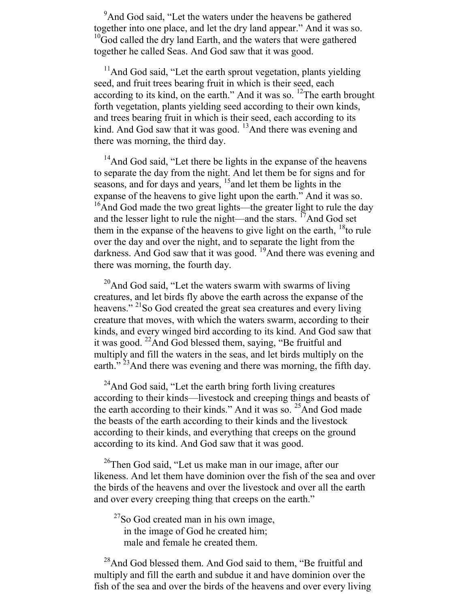<sup>9</sup>And God said, "Let the waters under the heavens be gathered together into one place, and let the dry land appear." And it was so. <sup>10</sup>God called the dry land Earth, and the waters that were gathered together he called Seas. And God saw that it was good.

 $<sup>11</sup>$ And God said, "Let the earth sprout vegetation, plants yielding</sup> seed, and fruit trees bearing fruit in which is their seed, each according to its kind, on the earth." And it was so.  $^{12}$ The earth brought forth vegetation, plants yielding seed according to their own kinds, and trees bearing fruit in which is their seed, each according to its kind. And God saw that it was good.  $13$ And there was evening and there was morning, the third day.

<sup>14</sup>And God said, "Let there be lights in the expanse of the heavens" to separate the day from the night. And let them be for signs and for seasons, and for days and years, <sup>15</sup> and let them be lights in the expanse of the heavens to give light upon the earth." And it was so. <sup>16</sup>And God made the two great lights—the greater light to rule the day and the lesser light to rule the night—and the stars.  $\frac{17}{2}$ And God set them in the expanse of the heavens to give light on the earth,  $18$  to rule over the day and over the night, and to separate the light from the darkness. And God saw that it was good.  $19$ And there was evening and there was morning, the fourth day.

 $^{20}$ And God said, "Let the waters swarm with swarms of living creatures, and let birds fly above the earth across the expanse of the heavens."<sup>21</sup>So God created the great sea creatures and every living creature that moves, with which the waters swarm, according to their kinds, and every winged bird according to its kind. And God saw that it was good.  $^{22}$ And God blessed them, saying, "Be fruitful and multiply and fill the waters in the seas, and let birds multiply on the earth. $\frac{1}{2}$ <sup>23</sup>And there was evening and there was morning, the fifth day.

 $24$ And God said, "Let the earth bring forth living creatures according to their kinds—livestock and creeping things and beasts of the earth according to their kinds." And it was so. <sup>25</sup>And God made the beasts of the earth according to their kinds and the livestock according to their kinds, and everything that creeps on the ground according to its kind. And God saw that it was good.

 $26$ Then God said, "Let us make man in our image, after our likeness. And let them have dominion over the fish of the sea and over the birds of the heavens and over the livestock and over all the earth and over every creeping thing that creeps on the earth."

 $27$ So God created man in his own image, in the image of God he created him; male and female he created them.

<sup>28</sup>And God blessed them. And God said to them, "Be fruitful and multiply and fill the earth and subdue it and have dominion over the fish of the sea and over the birds of the heavens and over every living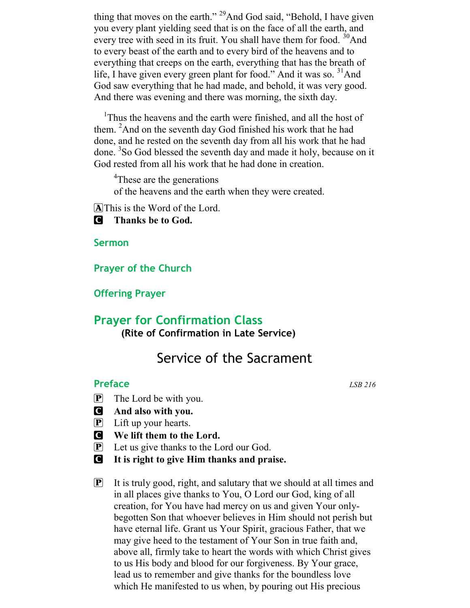thing that moves on the earth." <sup>29</sup>And God said, "Behold, I have given you every plant yielding seed that is on the face of all the earth, and every tree with seed in its fruit. You shall have them for food. <sup>30</sup>And to every beast of the earth and to every bird of the heavens and to everything that creeps on the earth, everything that has the breath of life, I have given every green plant for food." And it was so. <sup>31</sup>And God saw everything that he had made, and behold, it was very good. And there was evening and there was morning, the sixth day.

<sup>1</sup>Thus the heavens and the earth were finished, and all the host of them. <sup>2</sup>And on the seventh day God finished his work that he had done, and he rested on the seventh day from all his work that he had done. <sup>3</sup>So God blessed the seventh day and made it holy, because on it God rested from all his work that he had done in creation.

<sup>4</sup>These are the generations

of the heavens and the earth when they were created.

A This is the Word of the Lord.

**C** Thanks be to God.

Sermon

Prayer of the Church

Offering Prayer

## Prayer for Confirmation Class (Rite of Confirmation in Late Service)

## Service of the Sacrament

#### Preface LSB 216

- $\mathbf{P}$  The Lord be with you.
- C And also with you.
- P Lift up your hearts.
- C We lift them to the Lord.
- $[\mathbf{P}]$  Let us give thanks to the Lord our God.
- C It is right to give Him thanks and praise.
- $\boxed{\mathbf{P}}$  It is truly good, right, and salutary that we should at all times and in all places give thanks to You, O Lord our God, king of all creation, for You have had mercy on us and given Your onlybegotten Son that whoever believes in Him should not perish but have eternal life. Grant us Your Spirit, gracious Father, that we may give heed to the testament of Your Son in true faith and, above all, firmly take to heart the words with which Christ gives to us His body and blood for our forgiveness. By Your grace, lead us to remember and give thanks for the boundless love which He manifested to us when, by pouring out His precious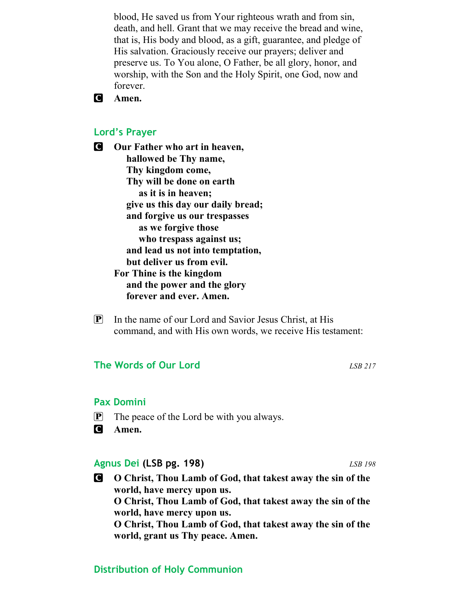blood, He saved us from Your righteous wrath and from sin, death, and hell. Grant that we may receive the bread and wine, that is, His body and blood, as a gift, guarantee, and pledge of His salvation. Graciously receive our prayers; deliver and preserve us. To You alone, O Father, be all glory, honor, and worship, with the Son and the Holy Spirit, one God, now and forever.

#### **C** Amen.

#### Lord's Prayer

**C** Our Father who art in heaven, hallowed be Thy name, Thy kingdom come, Thy will be done on earth as it is in heaven; give us this day our daily bread; and forgive us our trespasses as we forgive those who trespass against us; and lead us not into temptation, but deliver us from evil. For Thine is the kingdom and the power and the glory forever and ever. Amen.

 $\mathbf{P}$  In the name of our Lord and Savior Jesus Christ, at His command, and with His own words, we receive His testament:

#### The Words of Our Lord and LSB 217

#### Pax Domini

- P The peace of the Lord be with you always.
- **C** Amen.

#### Agnus Dei (LSB pg. 198) LSB 198

C O Christ, Thou Lamb of God, that takest away the sin of the world, have mercy upon us. O Christ, Thou Lamb of God, that takest away the sin of the world, have mercy upon us. O Christ, Thou Lamb of God, that takest away the sin of the world, grant us Thy peace. Amen.

#### Distribution of Holy Communion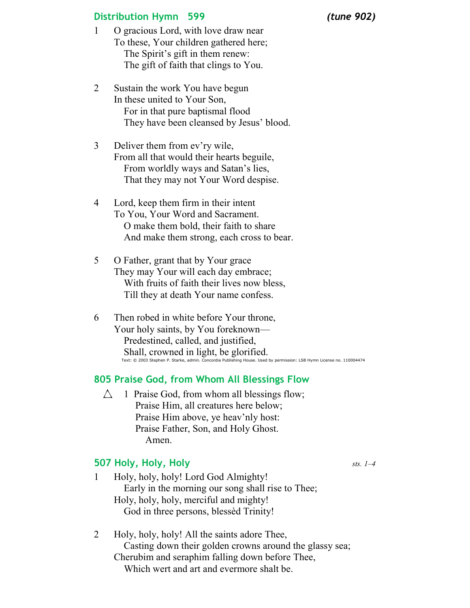#### Distribution Hymn 599 (tune 902)

- 1 O gracious Lord, with love draw near To these, Your children gathered here; The Spirit's gift in them renew: The gift of faith that clings to You.
- 2 Sustain the work You have begun In these united to Your Son, For in that pure baptismal flood They have been cleansed by Jesus' blood.
- 3 Deliver them from ev'ry wile, From all that would their hearts beguile, From worldly ways and Satan's lies, That they may not Your Word despise.
- 4 Lord, keep them firm in their intent To You, Your Word and Sacrament. O make them bold, their faith to share And make them strong, each cross to bear.
- 5 O Father, grant that by Your grace They may Your will each day embrace; With fruits of faith their lives now bless, Till they at death Your name confess.
- 6 Then robed in white before Your throne, Your holy saints, by You foreknown— Predestined, called, and justified, Shall, crowned in light, be glorified. Text: © 2003 Stephen P. Starke, admin. Concordia Publishing House. Used by permission: LSB Hymn License no. 110004474

#### 805 Praise God, from Whom All Blessings Flow

 $\triangle$  1 Praise God, from whom all blessings flow; Praise Him, all creatures here below; Praise Him above, ye heav'nly host: Praise Father, Son, and Holy Ghost. Amen.

#### **507 Holy, Holy, Holy**  $_{sts.}$   $1-4$

1 Holy, holy, holy! Lord God Almighty!

 Early in the morning our song shall rise to Thee; Holy, holy, holy, merciful and mighty! God in three persons, blessèd Trinity!

2 Holy, holy, holy! All the saints adore Thee, Casting down their golden crowns around the glassy sea; Cherubim and seraphim falling down before Thee, Which wert and art and evermore shalt be.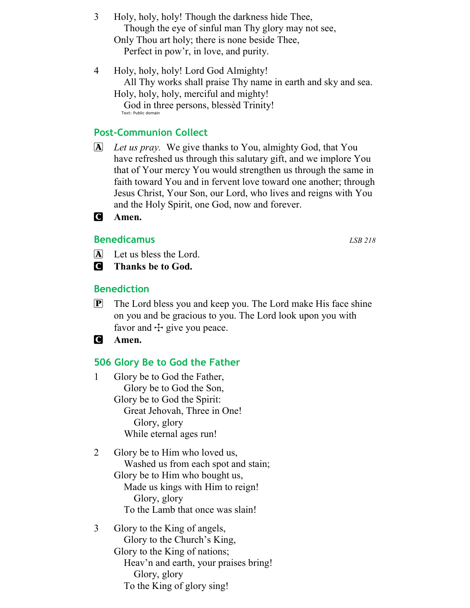- 3 Holy, holy, holy! Though the darkness hide Thee, Though the eye of sinful man Thy glory may not see, Only Thou art holy; there is none beside Thee, Perfect in pow'r, in love, and purity.
- 4 Holy, holy, holy! Lord God Almighty! All Thy works shall praise Thy name in earth and sky and sea. Holy, holy, holy, merciful and mighty! God in three persons, blessèd Trinity! Text: Public domain

### Post-Communion Collect

- $\overline{A}$  Let us pray. We give thanks to You, almighty God, that You have refreshed us through this salutary gift, and we implore You that of Your mercy You would strengthen us through the same in faith toward You and in fervent love toward one another; through Jesus Christ, Your Son, our Lord, who lives and reigns with You and the Holy Spirit, one God, now and forever.
- C Amen.

#### **Benedicamus** LSB 218

- A Let us bless the Lord.
- C Thanks be to God.

#### Benediction

- $\mathbb{P}$  The Lord bless you and keep you. The Lord make His face shine on you and be gracious to you. The Lord look upon you with favor and  $\pm$  give you peace.
- **C** Amen.

#### 506 Glory Be to God the Father

- 1 Glory be to God the Father, Glory be to God the Son, Glory be to God the Spirit: Great Jehovah, Three in One! Glory, glory While eternal ages run!
- 2 Glory be to Him who loved us, Washed us from each spot and stain; Glory be to Him who bought us, Made us kings with Him to reign! Glory, glory To the Lamb that once was slain!
- 3 Glory to the King of angels, Glory to the Church's King, Glory to the King of nations; Heav'n and earth, your praises bring! Glory, glory To the King of glory sing!